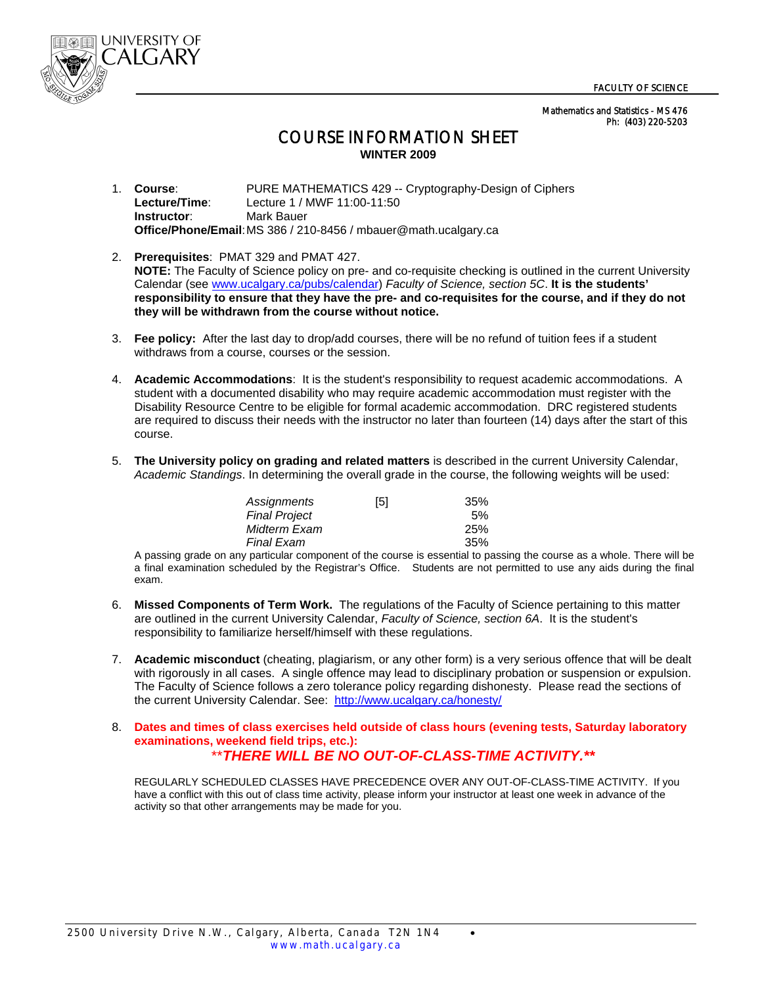

 Mathematics and Statistics - MS 476 Ph: (403) 220-5203

## COURSE INFORMATION SHEET **WINTER 2009**

1. **Course**: PURE MATHEMATICS 429 -- Cryptography-Design of Ciphers **Lecture/Time**: Lecture 1 / MWF 11:00-11:50 **Instructor:** Mark Bauer **Office/Phone/Email**: MS 386 / 210-8456 / mbauer@math.ucalgary.ca

- 2. **Prerequisites**: PMAT 329 and PMAT 427.  **NOTE:** The Faculty of Science policy on pre- and co-requisite checking is outlined in the current University Calendar (see www.ucalgary.ca/pubs/calendar) *Faculty of Science, section 5C*. **It is the students' responsibility to ensure that they have the pre- and co-requisites for the course, and if they do not they will be withdrawn from the course without notice.**
- 3. **Fee policy:** After the last day to drop/add courses, there will be no refund of tuition fees if a student withdraws from a course, courses or the session.
- 4. **Academic Accommodations**: It is the student's responsibility to request academic accommodations. A student with a documented disability who may require academic accommodation must register with the Disability Resource Centre to be eligible for formal academic accommodation. DRC registered students are required to discuss their needs with the instructor no later than fourteen (14) days after the start of this course.
- 5. **The University policy on grading and related matters** is described in the current University Calendar, *Academic Standings*. In determining the overall grade in the course, the following weights will be used:

| Assignments          | [5] | 35%        |
|----------------------|-----|------------|
| <b>Final Project</b> |     | 5%         |
| Midterm Exam         |     | <b>25%</b> |
| <b>Final Exam</b>    |     | 35%        |

 A passing grade on any particular component of the course is essential to passing the course as a whole. There will be a final examination scheduled by the Registrar's Office. Students are not permitted to use any aids during the final exam.

- 6. **Missed Components of Term Work.** The regulations of the Faculty of Science pertaining to this matter are outlined in the current University Calendar, *Faculty of Science, section 6A*. It is the student's responsibility to familiarize herself/himself with these regulations.
- 7. **Academic misconduct** (cheating, plagiarism, or any other form) is a very serious offence that will be dealt with rigorously in all cases. A single offence may lead to disciplinary probation or suspension or expulsion. The Faculty of Science follows a zero tolerance policy regarding dishonesty. Please read the sections of the current University Calendar. See: http://www.ucalgary.ca/honesty/

## 8. **Dates and times of class exercises held outside of class hours (evening tests, Saturday laboratory examinations, weekend field trips, etc.):** \*\**THERE WILL BE NO OUT-OF-CLASS-TIME ACTIVITY.\*\**

REGULARLY SCHEDULED CLASSES HAVE PRECEDENCE OVER ANY OUT-OF-CLASS-TIME ACTIVITY. If you have a conflict with this out of class time activity, please inform your instructor at least one week in advance of the activity so that other arrangements may be made for you.